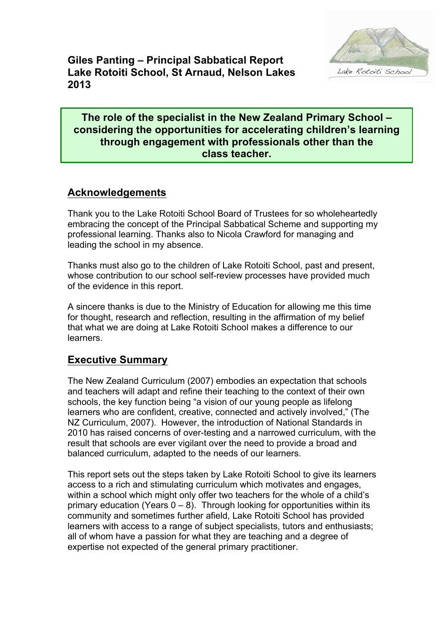

**Giles Panting – Principal Sabbatical Report Lake Rotoiti School, St Arnaud, Nelson Lakes 2013**

#### **The role of the specialist in the New Zealand Primary School – considering the opportunities for accelerating children's learning through engagement with professionals other than the class teacher.**

## **Acknowledgements**

Thank you to the Lake Rotoiti School Board of Trustees for so wholeheartedly embracing the concept of the Principal Sabbatical Scheme and supporting my professional learning. Thanks also to Nicola Crawford for managing and leading the school in my absence.

Thanks must also go to the children of Lake Rotoiti School, past and present, whose contribution to our school self-review processes have provided much of the evidence in this report.

A sincere thanks is due to the Ministry of Education for allowing me this time for thought, research and reflection, resulting in the affirmation of my belief that what we are doing at Lake Rotoiti School makes a difference to our learners.

#### **Executive Summary**

The New Zealand Curriculum (2007) embodies an expectation that schools and teachers will adapt and refine their teaching to the context of their own schools, the key function being "a vision of our young people as lifelong learners who are confident, creative, connected and actively involved," (The NZ Curriculum, 2007). However, the introduction of National Standards in 2010 has raised concerns of over-testing and a narrowed curriculum, with the result that schools are ever vigilant over the need to provide a broad and balanced curriculum, adapted to the needs of our learners.

This report sets out the steps taken by Lake Rotoiti School to give its learners access to a rich and stimulating curriculum which motivates and engages, within a school which might only offer two teachers for the whole of a child's primary education (Years  $0 - 8$ ). Through looking for opportunities within its community and sometimes further afield, Lake Rotoiti School has provided learners with access to a range of subject specialists, tutors and enthusiasts; all of whom have a passion for what they are teaching and a degree of expertise not expected of the general primary practitioner.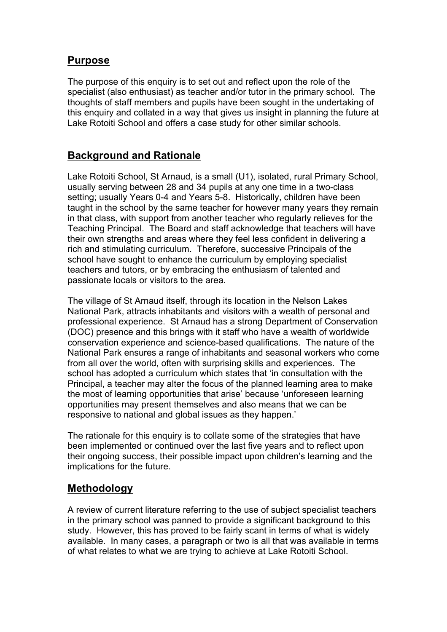#### **Purpose**

The purpose of this enquiry is to set out and reflect upon the role of the specialist (also enthusiast) as teacher and/or tutor in the primary school. The thoughts of staff members and pupils have been sought in the undertaking of this enquiry and collated in a way that gives us insight in planning the future at Lake Rotoiti School and offers a case study for other similar schools.

## **Background and Rationale**

Lake Rotoiti School, St Arnaud, is a small (U1), isolated, rural Primary School, usually serving between 28 and 34 pupils at any one time in a two-class setting; usually Years 0-4 and Years 5-8. Historically, children have been taught in the school by the same teacher for however many years they remain in that class, with support from another teacher who regularly relieves for the Teaching Principal. The Board and staff acknowledge that teachers will have their own strengths and areas where they feel less confident in delivering a rich and stimulating curriculum. Therefore, successive Principals of the school have sought to enhance the curriculum by employing specialist teachers and tutors, or by embracing the enthusiasm of talented and passionate locals or visitors to the area.

The village of St Arnaud itself, through its location in the Nelson Lakes National Park, attracts inhabitants and visitors with a wealth of personal and professional experience. St Arnaud has a strong Department of Conservation (DOC) presence and this brings with it staff who have a wealth of worldwide conservation experience and science-based qualifications. The nature of the National Park ensures a range of inhabitants and seasonal workers who come from all over the world, often with surprising skills and experiences. The school has adopted a curriculum which states that 'in consultation with the Principal, a teacher may alter the focus of the planned learning area to make the most of learning opportunities that arise' because 'unforeseen learning opportunities may present themselves and also means that we can be responsive to national and global issues as they happen.'

The rationale for this enquiry is to collate some of the strategies that have been implemented or continued over the last five years and to reflect upon their ongoing success, their possible impact upon children's learning and the implications for the future.

## **Methodology**

A review of current literature referring to the use of subject specialist teachers in the primary school was panned to provide a significant background to this study. However, this has proved to be fairly scant in terms of what is widely available. In many cases, a paragraph or two is all that was available in terms of what relates to what we are trying to achieve at Lake Rotoiti School.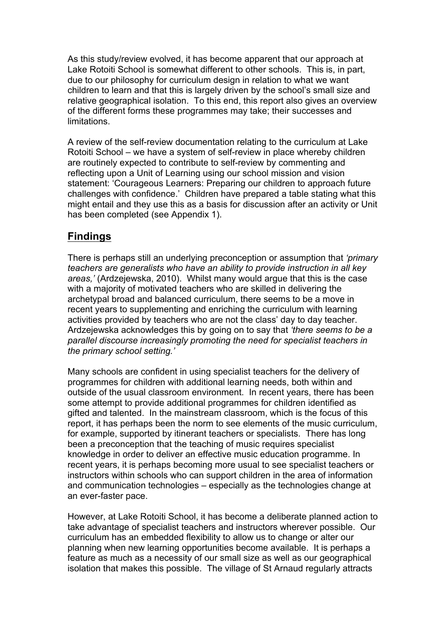As this study/review evolved, it has become apparent that our approach at Lake Rotoiti School is somewhat different to other schools. This is, in part, due to our philosophy for curriculum design in relation to what we want children to learn and that this is largely driven by the school's small size and relative geographical isolation. To this end, this report also gives an overview of the different forms these programmes may take; their successes and limitations.

A review of the self-review documentation relating to the curriculum at Lake Rotoiti School – we have a system of self-review in place whereby children are routinely expected to contribute to self-review by commenting and reflecting upon a Unit of Learning using our school mission and vision statement: 'Courageous Learners: Preparing our children to approach future challenges with confidence.' Children have prepared a table stating what this might entail and they use this as a basis for discussion after an activity or Unit has been completed (see Appendix 1).

## **Findings**

There is perhaps still an underlying preconception or assumption that *'primary teachers are generalists who have an ability to provide instruction in all key areas,'* (Ardzejewska, 2010). Whilst many would argue that this is the case with a majority of motivated teachers who are skilled in delivering the archetypal broad and balanced curriculum, there seems to be a move in recent years to supplementing and enriching the curriculum with learning activities provided by teachers who are not the class' day to day teacher. Ardzejewska acknowledges this by going on to say that *'there seems to be a parallel discourse increasingly promoting the need for specialist teachers in the primary school setting.'*

Many schools are confident in using specialist teachers for the delivery of programmes for children with additional learning needs, both within and outside of the usual classroom environment. In recent years, there has been some attempt to provide additional programmes for children identified as gifted and talented. In the mainstream classroom, which is the focus of this report, it has perhaps been the norm to see elements of the music curriculum, for example, supported by itinerant teachers or specialists. There has long been a preconception that the teaching of music requires specialist knowledge in order to deliver an effective music education programme. In recent years, it is perhaps becoming more usual to see specialist teachers or instructors within schools who can support children in the area of information and communication technologies – especially as the technologies change at an ever-faster pace.

However, at Lake Rotoiti School, it has become a deliberate planned action to take advantage of specialist teachers and instructors wherever possible. Our curriculum has an embedded flexibility to allow us to change or alter our planning when new learning opportunities become available. It is perhaps a feature as much as a necessity of our small size as well as our geographical isolation that makes this possible. The village of St Arnaud regularly attracts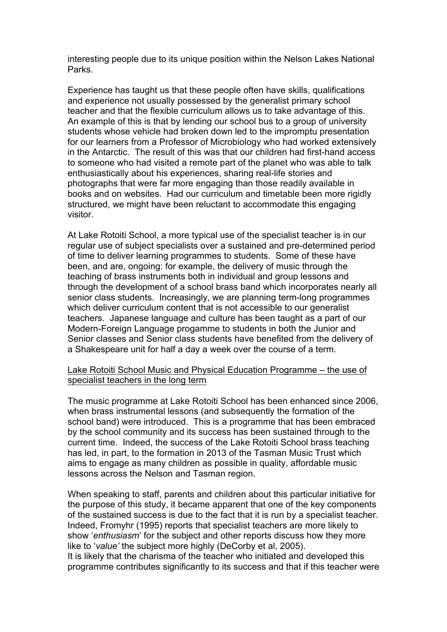interesting people due to its unique position within the Nelson Lakes National Parks.

Experience has taught us that these people often have skills, qualifications and experience not usually possessed by the generalist primary school teacher and that the flexible curriculum allows us to take advantage of this. An example of this is that by lending our school bus to a group of university students whose vehicle had broken down led to the impromptu presentation for our learners from a Professor of Microbiology who had worked extensively in the Antarctic. The result of this was that our children had first-hand access to someone who had visited a remote part of the planet who was able to talk enthusiastically about his experiences, sharing real-life stories and photographs that were far more engaging than those readily available in books and on websites. Had our curriculum and timetable been more rigidly structured, we might have been reluctant to accommodate this engaging visitor.

At Lake Rotoiti School, a more typical use of the specialist teacher is in our regular use of subject specialists over a sustained and pre-determined period of time to deliver learning programmes to students. Some of these have been, and are, ongoing: for example, the delivery of music through the teaching of brass instruments both in individual and group lessons and through the development of a school brass band which incorporates nearly all senior class students. Increasingly, we are planning term-long programmes which deliver curriculum content that is not accessible to our generalist teachers. Japanese language and culture has been taught as a part of our Modern-Foreign Language progamme to students in both the Junior and Senior classes and Senior class students have benefited from the delivery of a Shakespeare unit for half a day a week over the course of a term.

#### Lake Rotoiti School Music and Physical Education Programme – the use of specialist teachers in the long term

The music programme at Lake Rotoiti School has been enhanced since 2006, when brass instrumental lessons (and subsequently the formation of the school band) were introduced. This is a programme that has been embraced by the school community and its success has been sustained through to the current time. Indeed, the success of the Lake Rotoiti School brass teaching has led, in part, to the formation in 2013 of the Tasman Music Trust which aims to engage as many children as possible in quality, affordable music lessons across the Nelson and Tasman region.

When speaking to staff, parents and children about this particular initiative for the purpose of this study, it became apparent that one of the key components of the sustained success is due to the fact that it is run by a specialist teacher. Indeed, Fromyhr (1995) reports that specialist teachers are more likely to show '*enthusiasm*' for the subject and other reports discuss how they more like to '*value'* the subject more highly (DeCorby et al, 2005).

It is likely that the charisma of the teacher who initiated and developed this programme contributes significantly to its success and that if this teacher were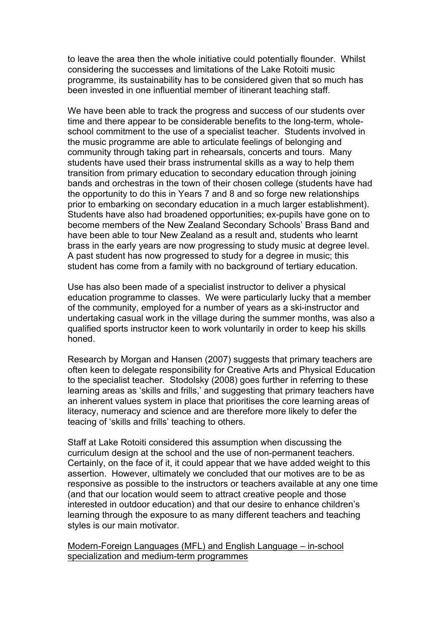to leave the area then the whole initiative could potentially flounder. Whilst considering the successes and limitations of the Lake Rotoiti music programme, its sustainability has to be considered given that so much has been invested in one influential member of itinerant teaching staff.

We have been able to track the progress and success of our students over time and there appear to be considerable benefits to the long-term, wholeschool commitment to the use of a specialist teacher. Students involved in the music programme are able to articulate feelings of belonging and community through taking part in rehearsals, concerts and tours. Many students have used their brass instrumental skills as a way to help them transition from primary education to secondary education through joining bands and orchestras in the town of their chosen college (students have had the opportunity to do this in Years 7 and 8 and so forge new relationships prior to embarking on secondary education in a much larger establishment). Students have also had broadened opportunities; ex-pupils have gone on to become members of the New Zealand Secondary Schools' Brass Band and have been able to tour New Zealand as a result and, students who learnt brass in the early years are now progressing to study music at degree level. A past student has now progressed to study for a degree in music; this student has come from a family with no background of tertiary education.

Use has also been made of a specialist instructor to deliver a physical education programme to classes. We were particularly lucky that a member of the community, employed for a number of years as a ski-instructor and undertaking casual work in the village during the summer months, was also a qualified sports instructor keen to work voluntarily in order to keep his skills honed.

Research by Morgan and Hansen (2007) suggests that primary teachers are often keen to delegate responsibility for Creative Arts and Physical Education to the specialist teacher. Stodolsky (2008) goes further in referring to these learning areas as 'skills and frills,' and suggesting that primary teachers have an inherent values system in place that prioritises the core learning areas of literacy, numeracy and science and are therefore more likely to defer the teacing of 'skills and frills' teaching to others.

Staff at Lake Rotoiti considered this assumption when discussing the curriculum design at the school and the use of non-permanent teachers. Certainly, on the face of it, it could appear that we have added weight to this assertion. However, ultimately we concluded that our motives are to be as responsive as possible to the instructors or teachers available at any one time (and that our location would seem to attract creative people and those interested in outdoor education) and that our desire to enhance children's learning through the exposure to as many different teachers and teaching styles is our main motivator.

Modern-Foreign Languages (MFL) and English Language – in-school specialization and medium-term programmes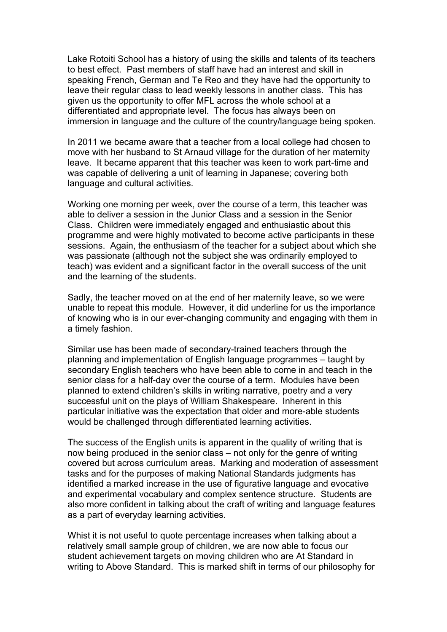Lake Rotoiti School has a history of using the skills and talents of its teachers to best effect. Past members of staff have had an interest and skill in speaking French, German and Te Reo and they have had the opportunity to leave their regular class to lead weekly lessons in another class. This has given us the opportunity to offer MFL across the whole school at a differentiated and appropriate level. The focus has always been on immersion in language and the culture of the country/language being spoken.

In 2011 we became aware that a teacher from a local college had chosen to move with her husband to St Arnaud village for the duration of her maternity leave. It became apparent that this teacher was keen to work part-time and was capable of delivering a unit of learning in Japanese; covering both language and cultural activities.

Working one morning per week, over the course of a term, this teacher was able to deliver a session in the Junior Class and a session in the Senior Class. Children were immediately engaged and enthusiastic about this programme and were highly motivated to become active participants in these sessions. Again, the enthusiasm of the teacher for a subject about which she was passionate (although not the subject she was ordinarily employed to teach) was evident and a significant factor in the overall success of the unit and the learning of the students.

Sadly, the teacher moved on at the end of her maternity leave, so we were unable to repeat this module. However, it did underline for us the importance of knowing who is in our ever-changing community and engaging with them in a timely fashion.

Similar use has been made of secondary-trained teachers through the planning and implementation of English language programmes – taught by secondary English teachers who have been able to come in and teach in the senior class for a half-day over the course of a term. Modules have been planned to extend children's skills in writing narrative, poetry and a very successful unit on the plays of William Shakespeare. Inherent in this particular initiative was the expectation that older and more-able students would be challenged through differentiated learning activities.

The success of the English units is apparent in the quality of writing that is now being produced in the senior class – not only for the genre of writing covered but across curriculum areas. Marking and moderation of assessment tasks and for the purposes of making National Standards judgments has identified a marked increase in the use of figurative language and evocative and experimental vocabulary and complex sentence structure. Students are also more confident in talking about the craft of writing and language features as a part of everyday learning activities.

Whist it is not useful to quote percentage increases when talking about a relatively small sample group of children, we are now able to focus our student achievement targets on moving children who are At Standard in writing to Above Standard. This is marked shift in terms of our philosophy for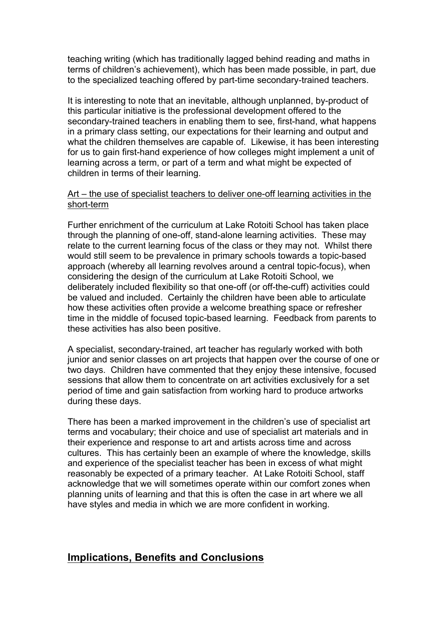teaching writing (which has traditionally lagged behind reading and maths in terms of children's achievement), which has been made possible, in part, due to the specialized teaching offered by part-time secondary-trained teachers.

It is interesting to note that an inevitable, although unplanned, by-product of this particular initiative is the professional development offered to the secondary-trained teachers in enabling them to see, first-hand, what happens in a primary class setting, our expectations for their learning and output and what the children themselves are capable of. Likewise, it has been interesting for us to gain first-hand experience of how colleges might implement a unit of learning across a term, or part of a term and what might be expected of children in terms of their learning.

#### Art – the use of specialist teachers to deliver one-off learning activities in the short-term

Further enrichment of the curriculum at Lake Rotoiti School has taken place through the planning of one-off, stand-alone learning activities. These may relate to the current learning focus of the class or they may not. Whilst there would still seem to be prevalence in primary schools towards a topic-based approach (whereby all learning revolves around a central topic-focus), when considering the design of the curriculum at Lake Rotoiti School, we deliberately included flexibility so that one-off (or off-the-cuff) activities could be valued and included. Certainly the children have been able to articulate how these activities often provide a welcome breathing space or refresher time in the middle of focused topic-based learning. Feedback from parents to these activities has also been positive.

A specialist, secondary-trained, art teacher has regularly worked with both junior and senior classes on art projects that happen over the course of one or two days. Children have commented that they enjoy these intensive, focused sessions that allow them to concentrate on art activities exclusively for a set period of time and gain satisfaction from working hard to produce artworks during these days.

There has been a marked improvement in the children's use of specialist art terms and vocabulary; their choice and use of specialist art materials and in their experience and response to art and artists across time and across cultures. This has certainly been an example of where the knowledge, skills and experience of the specialist teacher has been in excess of what might reasonably be expected of a primary teacher. At Lake Rotoiti School, staff acknowledge that we will sometimes operate within our comfort zones when planning units of learning and that this is often the case in art where we all have styles and media in which we are more confident in working.

#### **Implications, Benefits and Conclusions**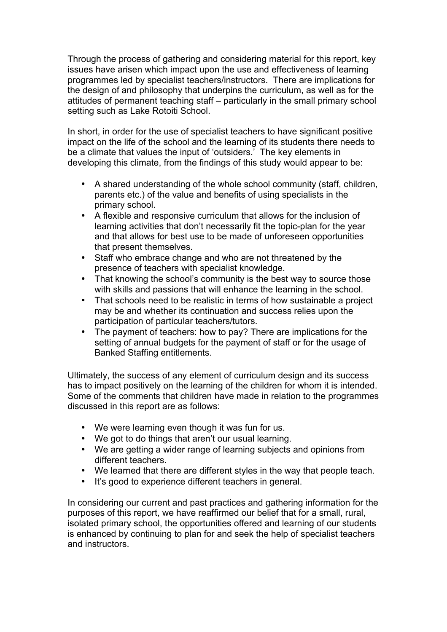Through the process of gathering and considering material for this report, key issues have arisen which impact upon the use and effectiveness of learning programmes led by specialist teachers/instructors. There are implications for the design of and philosophy that underpins the curriculum, as well as for the attitudes of permanent teaching staff – particularly in the small primary school setting such as Lake Rotoiti School.

In short, in order for the use of specialist teachers to have significant positive impact on the life of the school and the learning of its students there needs to be a climate that values the input of 'outsiders.' The key elements in developing this climate, from the findings of this study would appear to be:

- A shared understanding of the whole school community (staff, children, parents etc.) of the value and benefits of using specialists in the primary school.
- A flexible and responsive curriculum that allows for the inclusion of learning activities that don't necessarily fit the topic-plan for the year and that allows for best use to be made of unforeseen opportunities that present themselves.
- Staff who embrace change and who are not threatened by the presence of teachers with specialist knowledge.
- That knowing the school's community is the best way to source those with skills and passions that will enhance the learning in the school.
- That schools need to be realistic in terms of how sustainable a project may be and whether its continuation and success relies upon the participation of particular teachers/tutors.
- The payment of teachers: how to pay? There are implications for the setting of annual budgets for the payment of staff or for the usage of Banked Staffing entitlements.

Ultimately, the success of any element of curriculum design and its success has to impact positively on the learning of the children for whom it is intended. Some of the comments that children have made in relation to the programmes discussed in this report are as follows:

- We were learning even though it was fun for us.
- We got to do things that aren't our usual learning.
- We are getting a wider range of learning subjects and opinions from different teachers.
- We learned that there are different styles in the way that people teach.
- It's good to experience different teachers in general.

In considering our current and past practices and gathering information for the purposes of this report, we have reaffirmed our belief that for a small, rural, isolated primary school, the opportunities offered and learning of our students is enhanced by continuing to plan for and seek the help of specialist teachers and instructors.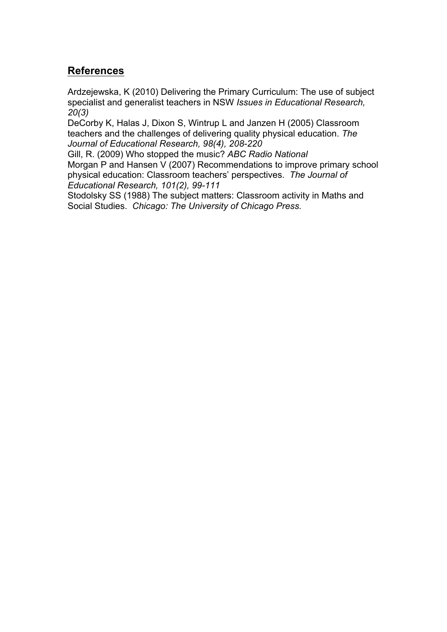#### **References**

Ardzejewska, K (2010) Delivering the Primary Curriculum: The use of subject specialist and generalist teachers in NSW *Issues in Educational Research, 20(3)*

DeCorby K, Halas J, Dixon S, Wintrup L and Janzen H (2005) Classroom teachers and the challenges of delivering quality physical education. *The Journal of Educational Research, 98(4), 208-220*

Gill, R. (2009) Who stopped the music? *ABC Radio National* Morgan P and Hansen V (2007) Recommendations to improve primary school physical education: Classroom teachers' perspectives. *The Journal of Educational Research, 101(2), 99-111*

Stodolsky SS (1988) The subject matters: Classroom activity in Maths and Social Studies. *Chicago: The University of Chicago Press.*